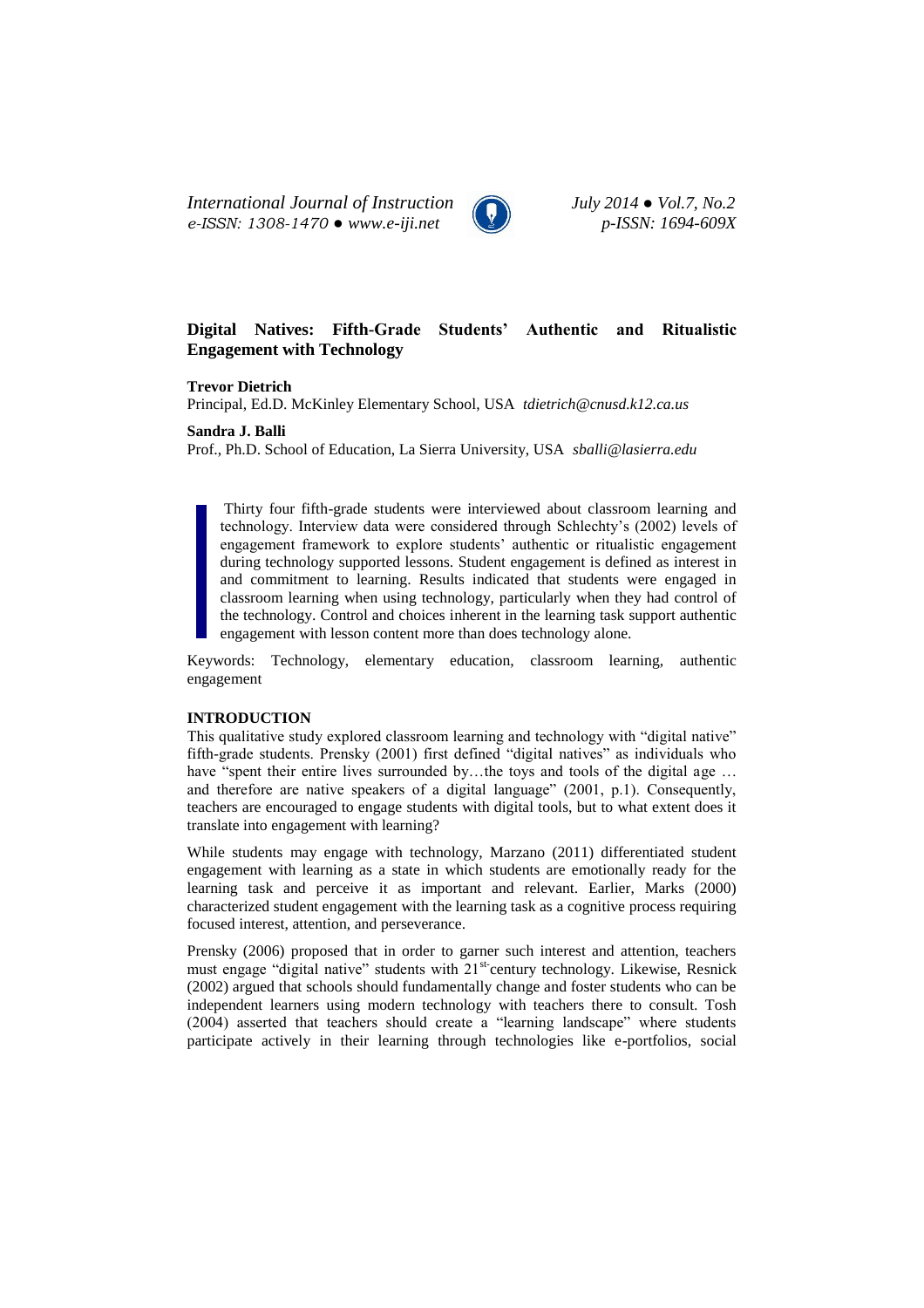*International Journal of Instruction July 2014 ● Vol.7, No.2 e-ISSN: 1308-1470 ● www.e-iji.net p-ISSN: 1694-609X*



# **Digital Natives: Fifth-Grade Students' Authentic and Ritualistic Engagement with Technology**

**Trevor Dietrich**

Principal, Ed.D. McKinley Elementary School, USA *[tdietrich@cnusd.k12.ca.us](mailto:tdietrich@cnusd.k12.ca.us)*

**Sandra J. Balli**

Prof., Ph.D. School of Education, La Sierra University, USA *[sballi@lasierra.edu](mailto:sballi@lasierra.edu)*

Thirty four fifth-grade students were interviewed about classroom learning and technology. Interview data were considered through Schlechty's (2002) levels of engagement framework to explore students' authentic or ritualistic engagement during technology supported lessons. Student engagement is defined as interest in and commitment to learning. Results indicated that students were engaged in classroom learning when using technology, particularly when they had control of the technology. Control and choices inherent in the learning task support authentic engagement with lesson content more than does technology alone.

Keywords: Technology, elementary education, classroom learning, authentic engagement

### **INTRODUCTION**

This qualitative study explored classroom learning and technology with "digital native" fifth-grade students. Prensky (2001) first defined "digital natives" as individuals who have "spent their entire lives surrounded by...the toys and tools of the digital age ... and therefore are native speakers of a digital language" (2001, p.1). Consequently, teachers are encouraged to engage students with digital tools, but to what extent does it translate into engagement with learning?

While students may engage with technology, Marzano (2011) differentiated student engagement with learning as a state in which students are emotionally ready for the learning task and perceive it as important and relevant. Earlier, Marks (2000) characterized student engagement with the learning task as a cognitive process requiring focused interest, attention, and perseverance.

Prensky (2006) proposed that in order to garner such interest and attention, teachers must engage "digital native" students with 21<sup>st-</sup>century technology. Likewise, Resnick (2002) argued that schools should fundamentally change and foster students who can be independent learners using modern technology with teachers there to consult. Tosh (2004) asserted that teachers should create a "learning landscape" where students participate actively in their learning through technologies like e-portfolios, social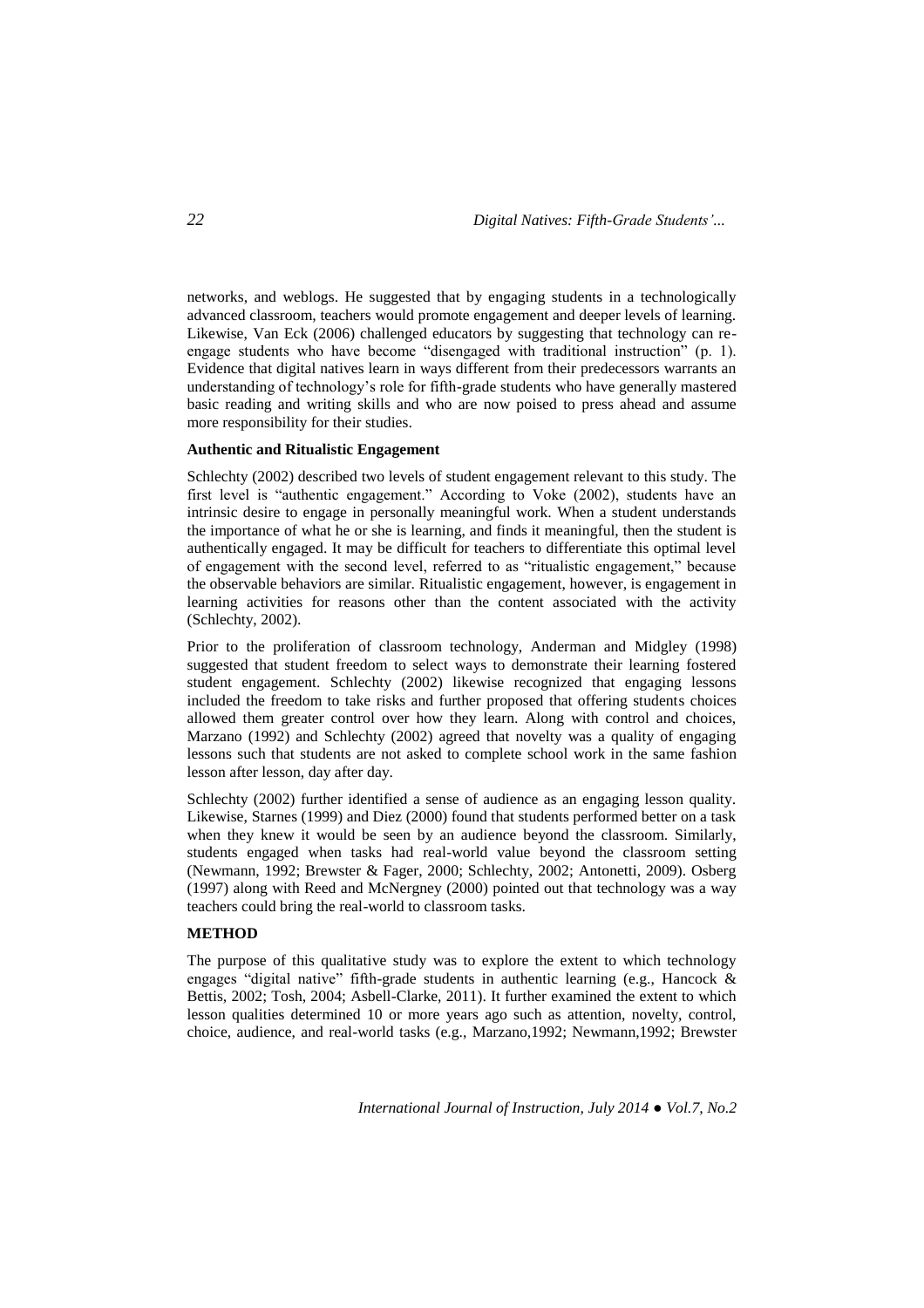networks, and weblogs. He suggested that by engaging students in a technologically advanced classroom, teachers would promote engagement and deeper levels of learning. Likewise, Van Eck (2006) challenged educators by suggesting that technology can reengage students who have become "disengaged with traditional instruction" (p. 1). Evidence that digital natives learn in ways different from their predecessors warrants an understanding of technology's role for fifth-grade students who have generally mastered basic reading and writing skills and who are now poised to press ahead and assume more responsibility for their studies.

## **Authentic and Ritualistic Engagement**

Schlechty (2002) described two levels of student engagement relevant to this study. The first level is "authentic engagement." According to Voke (2002), students have an intrinsic desire to engage in personally meaningful work. When a student understands the importance of what he or she is learning, and finds it meaningful, then the student is authentically engaged. It may be difficult for teachers to differentiate this optimal level of engagement with the second level, referred to as "ritualistic engagement," because the observable behaviors are similar. Ritualistic engagement, however, is engagement in learning activities for reasons other than the content associated with the activity (Schlechty, 2002).

Prior to the proliferation of classroom technology, Anderman and Midgley (1998) suggested that student freedom to select ways to demonstrate their learning fostered student engagement. Schlechty (2002) likewise recognized that engaging lessons included the freedom to take risks and further proposed that offering students choices allowed them greater control over how they learn. Along with control and choices, Marzano (1992) and Schlechty (2002) agreed that novelty was a quality of engaging lessons such that students are not asked to complete school work in the same fashion lesson after lesson, day after day.

Schlechty (2002) further identified a sense of audience as an engaging lesson quality. Likewise, Starnes (1999) and Diez (2000) found that students performed better on a task when they knew it would be seen by an audience beyond the classroom. Similarly, students engaged when tasks had real-world value beyond the classroom setting (Newmann, 1992; Brewster & Fager, 2000; Schlechty, 2002; Antonetti, 2009). Osberg (1997) along with Reed and McNergney (2000) pointed out that technology was a way teachers could bring the real-world to classroom tasks.

## **METHOD**

The purpose of this qualitative study was to explore the extent to which technology engages "digital native" fifth-grade students in authentic learning (e.g., Hancock & Bettis, 2002; Tosh, 2004; Asbell-Clarke, 2011). It further examined the extent to which lesson qualities determined 10 or more years ago such as attention, novelty, control, choice, audience, and real-world tasks (e.g., Marzano,1992; Newmann,1992; Brewster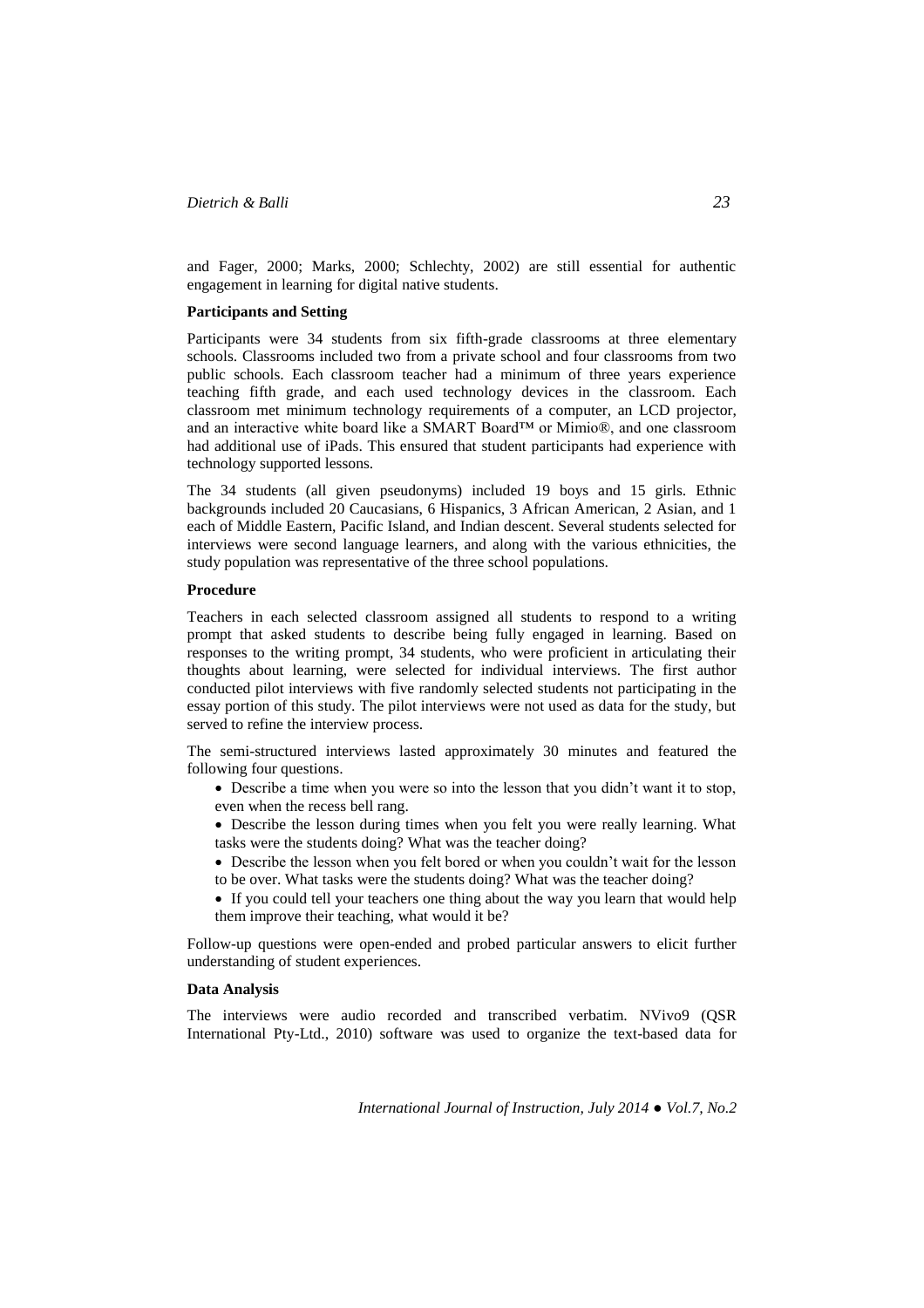and Fager, 2000; Marks, 2000; Schlechty, 2002) are still essential for authentic engagement in learning for digital native students.

#### **Participants and Setting**

Participants were 34 students from six fifth-grade classrooms at three elementary schools. Classrooms included two from a private school and four classrooms from two public schools. Each classroom teacher had a minimum of three years experience teaching fifth grade, and each used technology devices in the classroom. Each classroom met minimum technology requirements of a computer, an LCD projector, and an interactive white board like a SMART Board™ or Mimio®, and one classroom had additional use of iPads. This ensured that student participants had experience with technology supported lessons.

The 34 students (all given pseudonyms) included 19 boys and 15 girls. Ethnic backgrounds included 20 Caucasians, 6 Hispanics, 3 African American, 2 Asian, and 1 each of Middle Eastern, Pacific Island, and Indian descent. Several students selected for interviews were second language learners, and along with the various ethnicities, the study population was representative of the three school populations.

### **Procedure**

Teachers in each selected classroom assigned all students to respond to a writing prompt that asked students to describe being fully engaged in learning. Based on responses to the writing prompt, 34 students, who were proficient in articulating their thoughts about learning, were selected for individual interviews. The first author conducted pilot interviews with five randomly selected students not participating in the essay portion of this study. The pilot interviews were not used as data for the study, but served to refine the interview process.

The semi-structured interviews lasted approximately 30 minutes and featured the following four questions.

- Describe a time when you were so into the lesson that you didn't want it to stop, even when the recess bell rang.
- Describe the lesson during times when you felt you were really learning. What tasks were the students doing? What was the teacher doing?
- Describe the lesson when you felt bored or when you couldn't wait for the lesson to be over. What tasks were the students doing? What was the teacher doing?
- If you could tell your teachers one thing about the way you learn that would help them improve their teaching, what would it be?

Follow-up questions were open-ended and probed particular answers to elicit further understanding of student experiences.

### **Data Analysis**

The interviews were audio recorded and transcribed verbatim. NVivo9 (QSR International Pty-Ltd., 2010) software was used to organize the text-based data for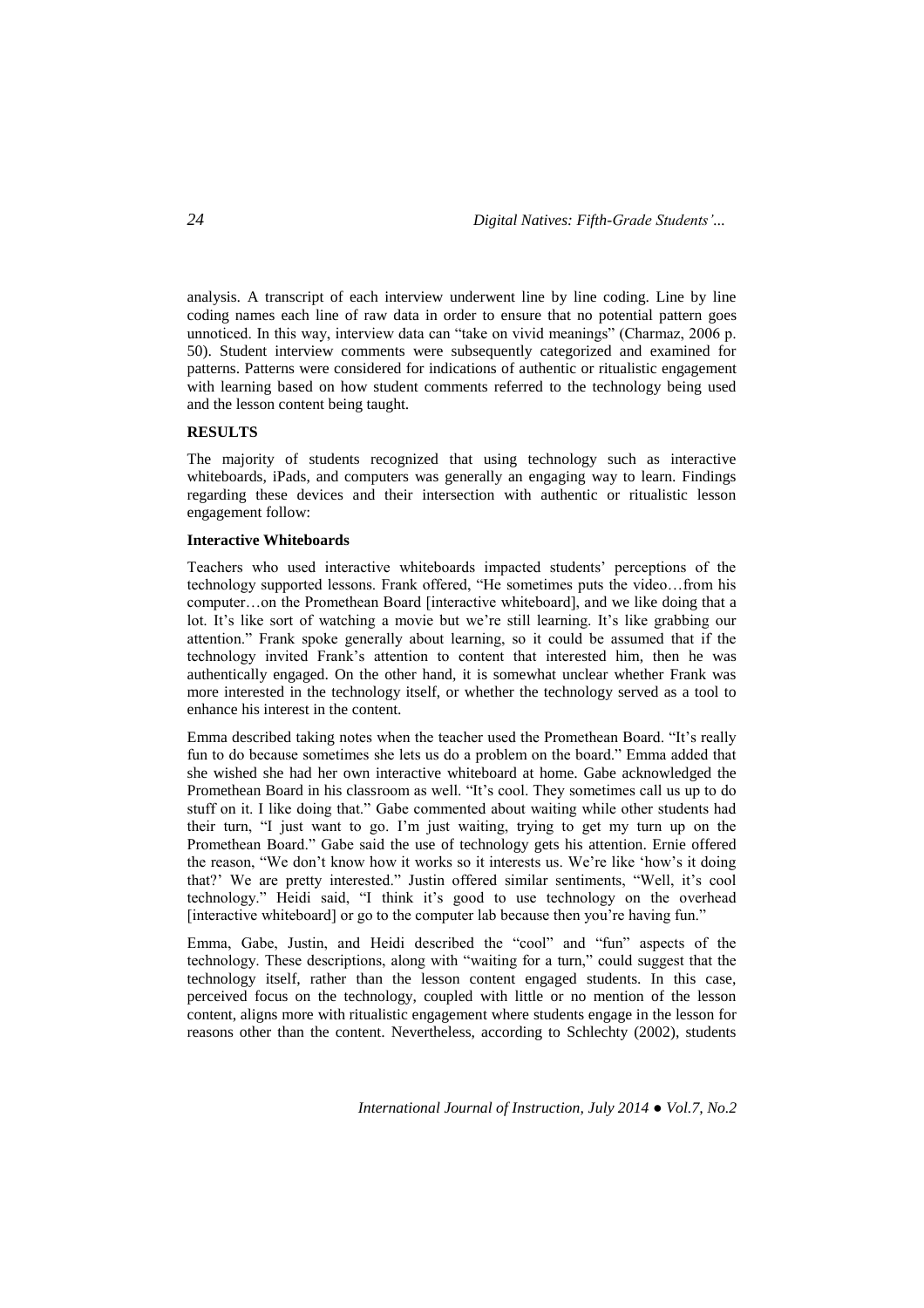analysis. A transcript of each interview underwent line by line coding. Line by line coding names each line of raw data in order to ensure that no potential pattern goes unnoticed. In this way, interview data can "take on vivid meanings" (Charmaz, 2006 p. 50). Student interview comments were subsequently categorized and examined for patterns. Patterns were considered for indications of authentic or ritualistic engagement with learning based on how student comments referred to the technology being used and the lesson content being taught.

# **RESULTS**

The majority of students recognized that using technology such as interactive whiteboards, iPads, and computers was generally an engaging way to learn. Findings regarding these devices and their intersection with authentic or ritualistic lesson engagement follow:

#### **Interactive Whiteboards**

Teachers who used interactive whiteboards impacted students' perceptions of the technology supported lessons. Frank offered, "He sometimes puts the video…from his computer…on the Promethean Board [interactive whiteboard], and we like doing that a lot. It's like sort of watching a movie but we're still learning. It's like grabbing our attention." Frank spoke generally about learning, so it could be assumed that if the technology invited Frank's attention to content that interested him, then he was authentically engaged. On the other hand, it is somewhat unclear whether Frank was more interested in the technology itself, or whether the technology served as a tool to enhance his interest in the content.

Emma described taking notes when the teacher used the Promethean Board. "It's really fun to do because sometimes she lets us do a problem on the board." Emma added that she wished she had her own interactive whiteboard at home. Gabe acknowledged the Promethean Board in his classroom as well. "It's cool. They sometimes call us up to do stuff on it. I like doing that." Gabe commented about waiting while other students had their turn, "I just want to go. I'm just waiting, trying to get my turn up on the Promethean Board." Gabe said the use of technology gets his attention. Ernie offered the reason, "We don't know how it works so it interests us. We're like 'how's it doing that?' We are pretty interested." Justin offered similar sentiments, "Well, it's cool technology." Heidi said, "I think it's good to use technology on the overhead [interactive whiteboard] or go to the computer lab because then you're having fun."

Emma, Gabe, Justin, and Heidi described the "cool" and "fun" aspects of the technology. These descriptions, along with "waiting for a turn," could suggest that the technology itself, rather than the lesson content engaged students. In this case, perceived focus on the technology, coupled with little or no mention of the lesson content, aligns more with ritualistic engagement where students engage in the lesson for reasons other than the content. Nevertheless, according to Schlechty (2002), students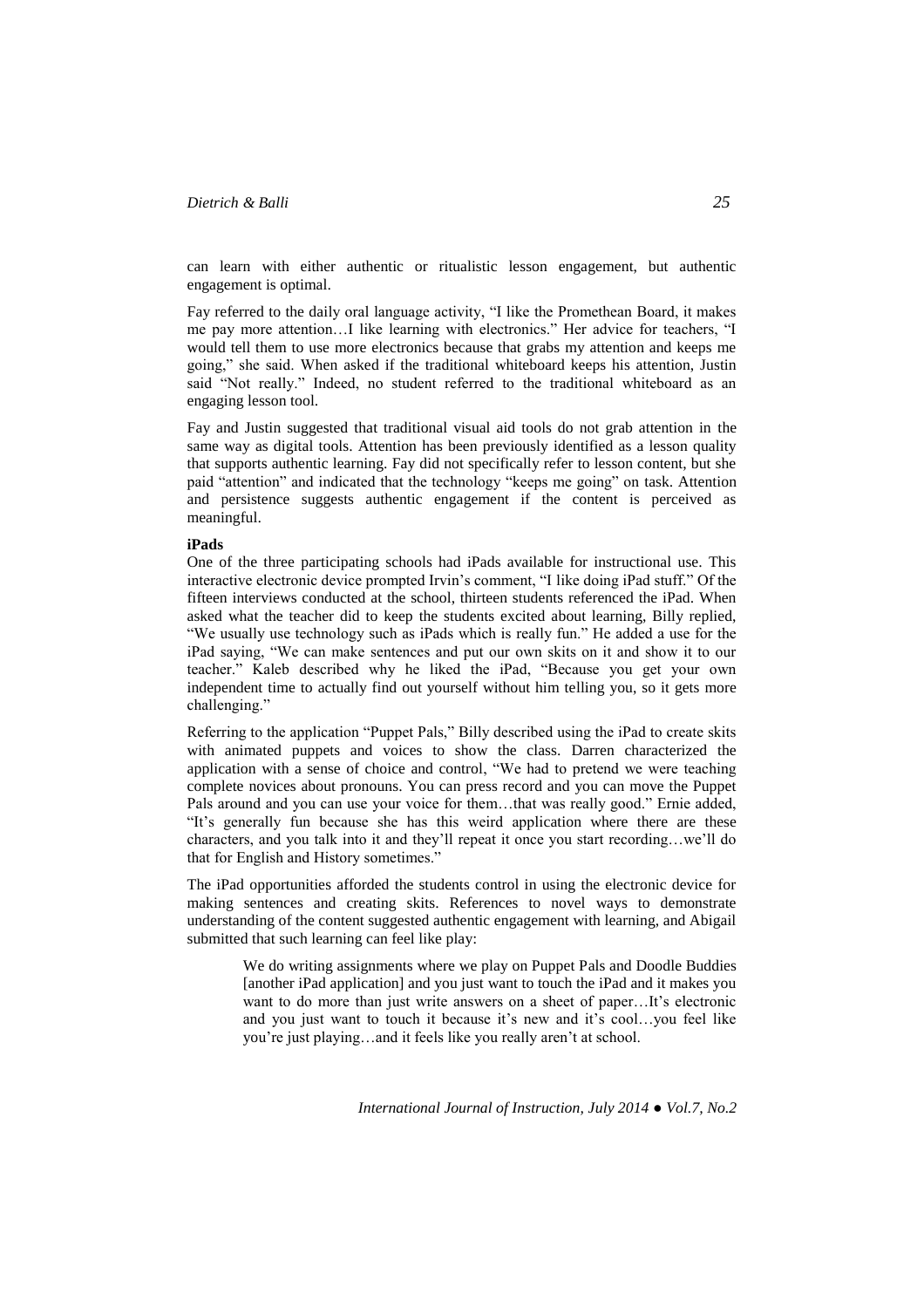can learn with either authentic or ritualistic lesson engagement, but authentic engagement is optimal.

Fay referred to the daily oral language activity, "I like the Promethean Board, it makes me pay more attention…I like learning with electronics." Her advice for teachers, "I would tell them to use more electronics because that grabs my attention and keeps me going," she said. When asked if the traditional whiteboard keeps his attention, Justin said "Not really." Indeed, no student referred to the traditional whiteboard as an engaging lesson tool.

Fay and Justin suggested that traditional visual aid tools do not grab attention in the same way as digital tools. Attention has been previously identified as a lesson quality that supports authentic learning. Fay did not specifically refer to lesson content, but she paid "attention" and indicated that the technology "keeps me going" on task. Attention and persistence suggests authentic engagement if the content is perceived as meaningful.

#### **iPads**

One of the three participating schools had iPads available for instructional use. This interactive electronic device prompted Irvin's comment, "I like doing iPad stuff." Of the fifteen interviews conducted at the school, thirteen students referenced the iPad. When asked what the teacher did to keep the students excited about learning, Billy replied, "We usually use technology such as iPads which is really fun." He added a use for the iPad saying, "We can make sentences and put our own skits on it and show it to our teacher." Kaleb described why he liked the iPad, "Because you get your own independent time to actually find out yourself without him telling you, so it gets more challenging."

Referring to the application "Puppet Pals," Billy described using the iPad to create skits with animated puppets and voices to show the class. Darren characterized the application with a sense of choice and control, "We had to pretend we were teaching complete novices about pronouns. You can press record and you can move the Puppet Pals around and you can use your voice for them…that was really good." Ernie added, "It's generally fun because she has this weird application where there are these characters, and you talk into it and they'll repeat it once you start recording…we'll do that for English and History sometimes."

The iPad opportunities afforded the students control in using the electronic device for making sentences and creating skits. References to novel ways to demonstrate understanding of the content suggested authentic engagement with learning, and Abigail submitted that such learning can feel like play:

> We do writing assignments where we play on Puppet Pals and Doodle Buddies [another iPad application] and you just want to touch the iPad and it makes you want to do more than just write answers on a sheet of paper...It's electronic and you just want to touch it because it's new and it's cool…you feel like you're just playing…and it feels like you really aren't at school.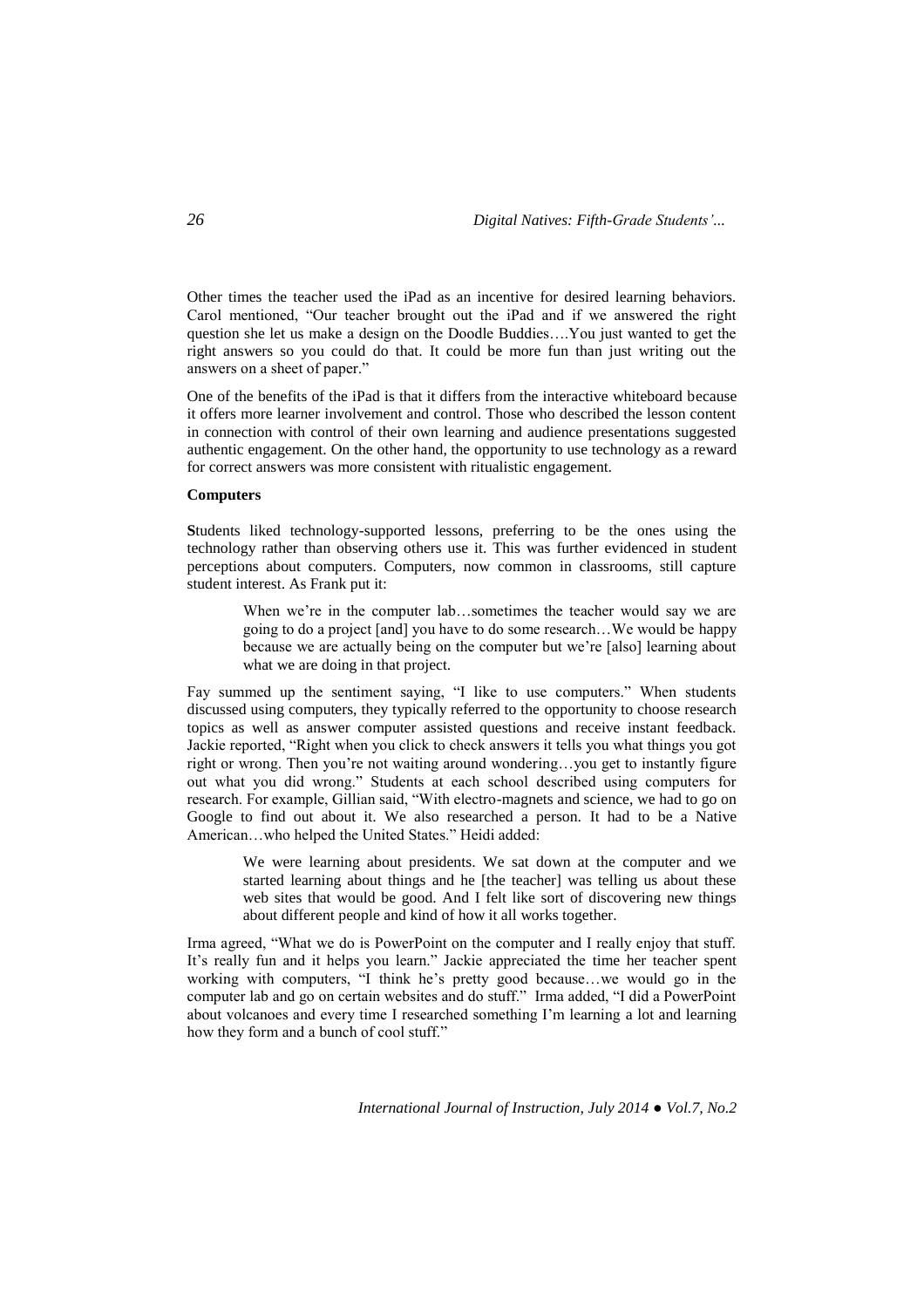Other times the teacher used the iPad as an incentive for desired learning behaviors. Carol mentioned, "Our teacher brought out the iPad and if we answered the right question she let us make a design on the Doodle Buddies….You just wanted to get the right answers so you could do that. It could be more fun than just writing out the answers on a sheet of paper."

One of the benefits of the iPad is that it differs from the interactive whiteboard because it offers more learner involvement and control. Those who described the lesson content in connection with control of their own learning and audience presentations suggested authentic engagement. On the other hand, the opportunity to use technology as a reward for correct answers was more consistent with ritualistic engagement.

#### **Computers**

**S**tudents liked technology-supported lessons, preferring to be the ones using the technology rather than observing others use it. This was further evidenced in student perceptions about computers. Computers, now common in classrooms, still capture student interest. As Frank put it:

> When we're in the computer lab...sometimes the teacher would say we are going to do a project [and] you have to do some research…We would be happy because we are actually being on the computer but we're [also] learning about what we are doing in that project.

Fay summed up the sentiment saying, "I like to use computers." When students discussed using computers, they typically referred to the opportunity to choose research topics as well as answer computer assisted questions and receive instant feedback. Jackie reported, "Right when you click to check answers it tells you what things you got right or wrong. Then you're not waiting around wondering…you get to instantly figure out what you did wrong." Students at each school described using computers for research. For example, Gillian said, "With electro-magnets and science, we had to go on Google to find out about it. We also researched a person. It had to be a Native American…who helped the United States." Heidi added:

We were learning about presidents. We sat down at the computer and we started learning about things and he [the teacher] was telling us about these web sites that would be good. And I felt like sort of discovering new things about different people and kind of how it all works together.

Irma agreed, "What we do is PowerPoint on the computer and I really enjoy that stuff. It's really fun and it helps you learn." Jackie appreciated the time her teacher spent working with computers, "I think he's pretty good because…we would go in the computer lab and go on certain websites and do stuff." Irma added, "I did a PowerPoint about volcanoes and every time I researched something I'm learning a lot and learning how they form and a bunch of cool stuff."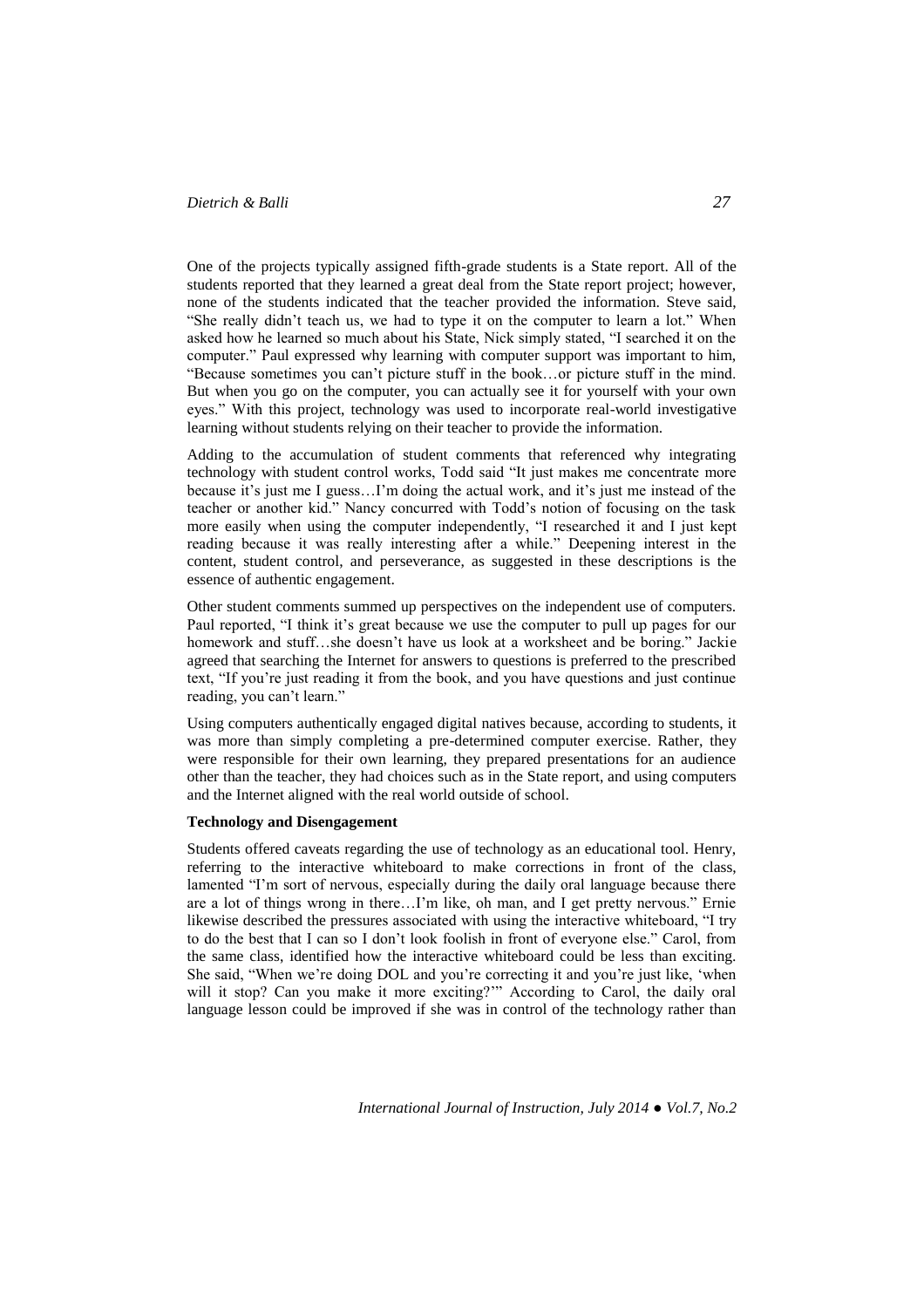One of the projects typically assigned fifth-grade students is a State report. All of the students reported that they learned a great deal from the State report project; however, none of the students indicated that the teacher provided the information. Steve said, "She really didn't teach us, we had to type it on the computer to learn a lot." When asked how he learned so much about his State, Nick simply stated, "I searched it on the computer." Paul expressed why learning with computer support was important to him, "Because sometimes you can't picture stuff in the book…or picture stuff in the mind. But when you go on the computer, you can actually see it for yourself with your own eyes." With this project, technology was used to incorporate real-world investigative learning without students relying on their teacher to provide the information.

Adding to the accumulation of student comments that referenced why integrating technology with student control works, Todd said "It just makes me concentrate more because it's just me I guess…I'm doing the actual work, and it's just me instead of the teacher or another kid." Nancy concurred with Todd's notion of focusing on the task more easily when using the computer independently, "I researched it and I just kept reading because it was really interesting after a while." Deepening interest in the content, student control, and perseverance, as suggested in these descriptions is the essence of authentic engagement.

Other student comments summed up perspectives on the independent use of computers. Paul reported, "I think it's great because we use the computer to pull up pages for our homework and stuff...she doesn't have us look at a worksheet and be boring." Jackie agreed that searching the Internet for answers to questions is preferred to the prescribed text, "If you're just reading it from the book, and you have questions and just continue reading, you can't learn."

Using computers authentically engaged digital natives because, according to students, it was more than simply completing a pre-determined computer exercise. Rather, they were responsible for their own learning, they prepared presentations for an audience other than the teacher, they had choices such as in the State report, and using computers and the Internet aligned with the real world outside of school.

#### **Technology and Disengagement**

Students offered caveats regarding the use of technology as an educational tool. Henry, referring to the interactive whiteboard to make corrections in front of the class, lamented "I'm sort of nervous, especially during the daily oral language because there are a lot of things wrong in there…I'm like, oh man, and I get pretty nervous." Ernie likewise described the pressures associated with using the interactive whiteboard, "I try to do the best that I can so I don't look foolish in front of everyone else." Carol, from the same class, identified how the interactive whiteboard could be less than exciting. She said, "When we're doing DOL and you're correcting it and you're just like, 'when will it stop? Can you make it more exciting?'" According to Carol, the daily oral language lesson could be improved if she was in control of the technology rather than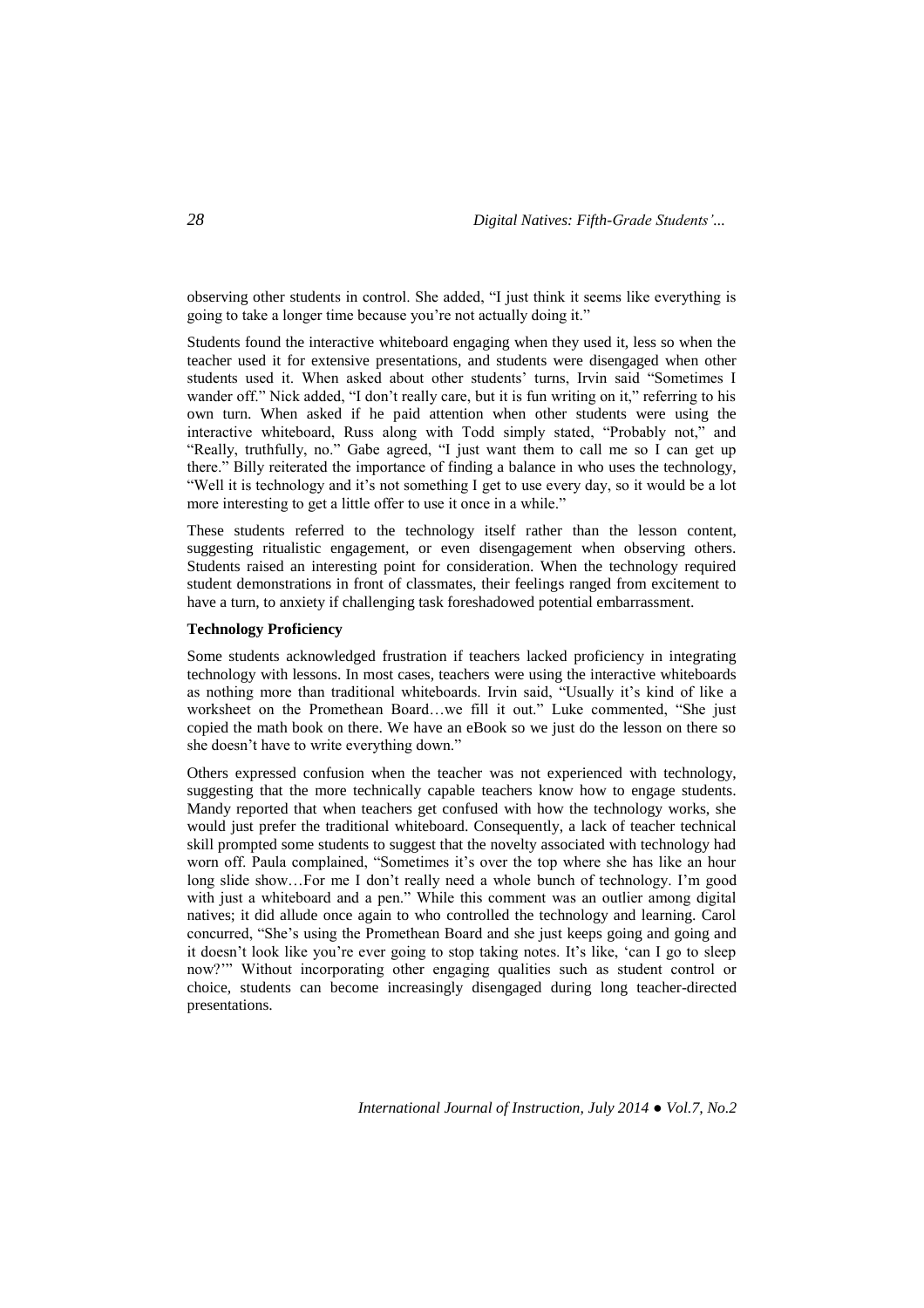observing other students in control. She added, "I just think it seems like everything is going to take a longer time because you're not actually doing it."

Students found the interactive whiteboard engaging when they used it, less so when the teacher used it for extensive presentations, and students were disengaged when other students used it. When asked about other students' turns, Irvin said "Sometimes I wander off." Nick added, "I don't really care, but it is fun writing on it," referring to his own turn. When asked if he paid attention when other students were using the interactive whiteboard, Russ along with Todd simply stated, "Probably not," and "Really, truthfully, no." Gabe agreed, "I just want them to call me so I can get up there." Billy reiterated the importance of finding a balance in who uses the technology, "Well it is technology and it's not something I get to use every day, so it would be a lot more interesting to get a little offer to use it once in a while."

These students referred to the technology itself rather than the lesson content, suggesting ritualistic engagement, or even disengagement when observing others. Students raised an interesting point for consideration. When the technology required student demonstrations in front of classmates, their feelings ranged from excitement to have a turn, to anxiety if challenging task foreshadowed potential embarrassment.

#### **Technology Proficiency**

Some students acknowledged frustration if teachers lacked proficiency in integrating technology with lessons. In most cases, teachers were using the interactive whiteboards as nothing more than traditional whiteboards. Irvin said, "Usually it's kind of like a worksheet on the Promethean Board…we fill it out." Luke commented, "She just copied the math book on there. We have an eBook so we just do the lesson on there so she doesn't have to write everything down."

Others expressed confusion when the teacher was not experienced with technology, suggesting that the more technically capable teachers know how to engage students. Mandy reported that when teachers get confused with how the technology works, she would just prefer the traditional whiteboard. Consequently, a lack of teacher technical skill prompted some students to suggest that the novelty associated with technology had worn off. Paula complained, "Sometimes it's over the top where she has like an hour long slide show…For me I don't really need a whole bunch of technology. I'm good with just a whiteboard and a pen." While this comment was an outlier among digital natives; it did allude once again to who controlled the technology and learning. Carol concurred, "She's using the Promethean Board and she just keeps going and going and it doesn't look like you're ever going to stop taking notes. It's like, 'can I go to sleep now?'" Without incorporating other engaging qualities such as student control or choice, students can become increasingly disengaged during long teacher-directed presentations.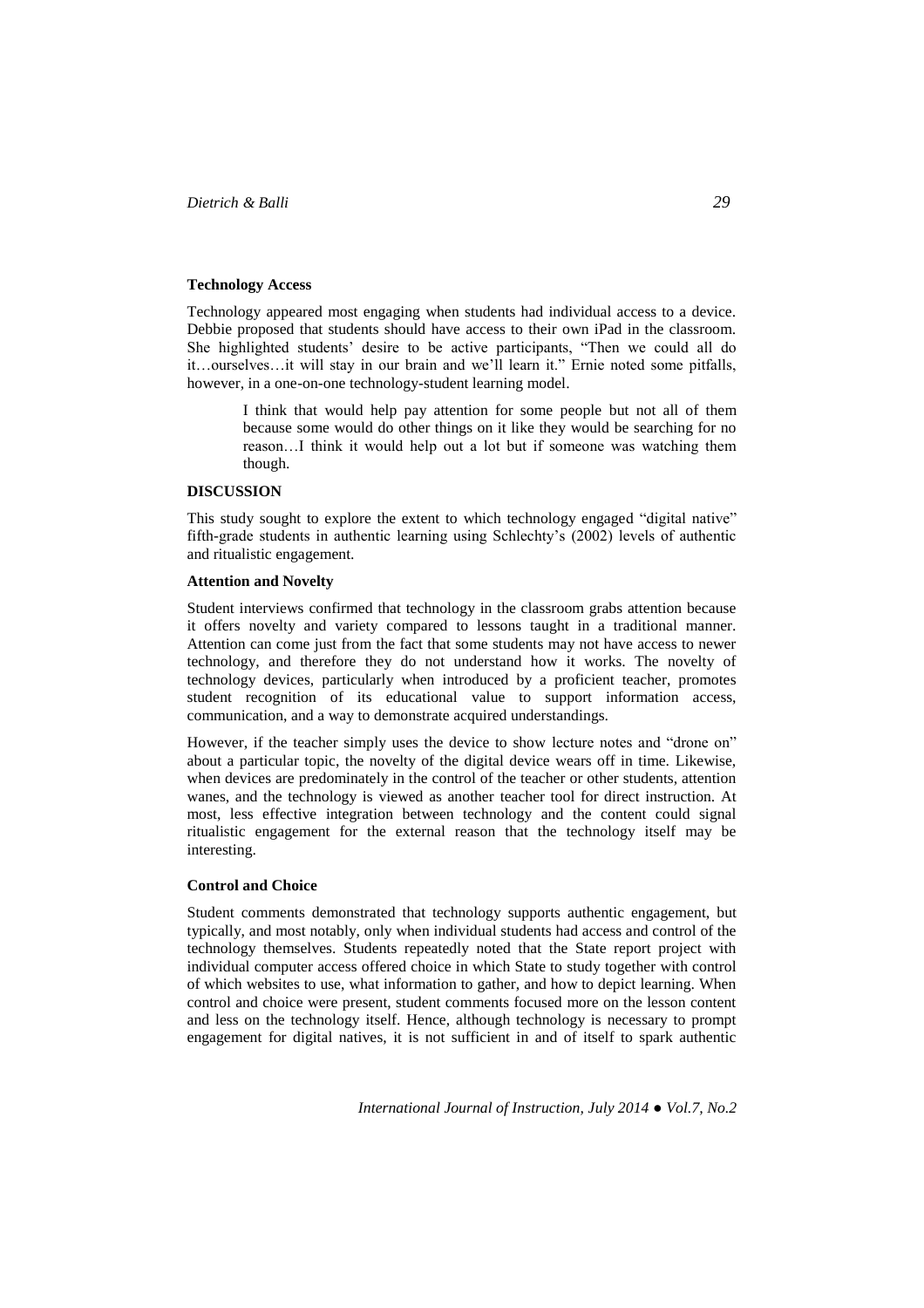#### **Technology Access**

Technology appeared most engaging when students had individual access to a device. Debbie proposed that students should have access to their own iPad in the classroom. She highlighted students' desire to be active participants, "Then we could all do it…ourselves…it will stay in our brain and we'll learn it." Ernie noted some pitfalls, however, in a one-on-one technology-student learning model.

> I think that would help pay attention for some people but not all of them because some would do other things on it like they would be searching for no reason…I think it would help out a lot but if someone was watching them though.

#### **DISCUSSION**

This study sought to explore the extent to which technology engaged "digital native" fifth-grade students in authentic learning using Schlechty's (2002) levels of authentic and ritualistic engagement.

#### **Attention and Novelty**

Student interviews confirmed that technology in the classroom grabs attention because it offers novelty and variety compared to lessons taught in a traditional manner. Attention can come just from the fact that some students may not have access to newer technology, and therefore they do not understand how it works. The novelty of technology devices, particularly when introduced by a proficient teacher, promotes student recognition of its educational value to support information access, communication, and a way to demonstrate acquired understandings.

However, if the teacher simply uses the device to show lecture notes and "drone on" about a particular topic, the novelty of the digital device wears off in time. Likewise, when devices are predominately in the control of the teacher or other students, attention wanes, and the technology is viewed as another teacher tool for direct instruction. At most, less effective integration between technology and the content could signal ritualistic engagement for the external reason that the technology itself may be interesting.

## **Control and Choice**

Student comments demonstrated that technology supports authentic engagement, but typically, and most notably, only when individual students had access and control of the technology themselves. Students repeatedly noted that the State report project with individual computer access offered choice in which State to study together with control of which websites to use, what information to gather, and how to depict learning. When control and choice were present, student comments focused more on the lesson content and less on the technology itself. Hence, although technology is necessary to prompt engagement for digital natives, it is not sufficient in and of itself to spark authentic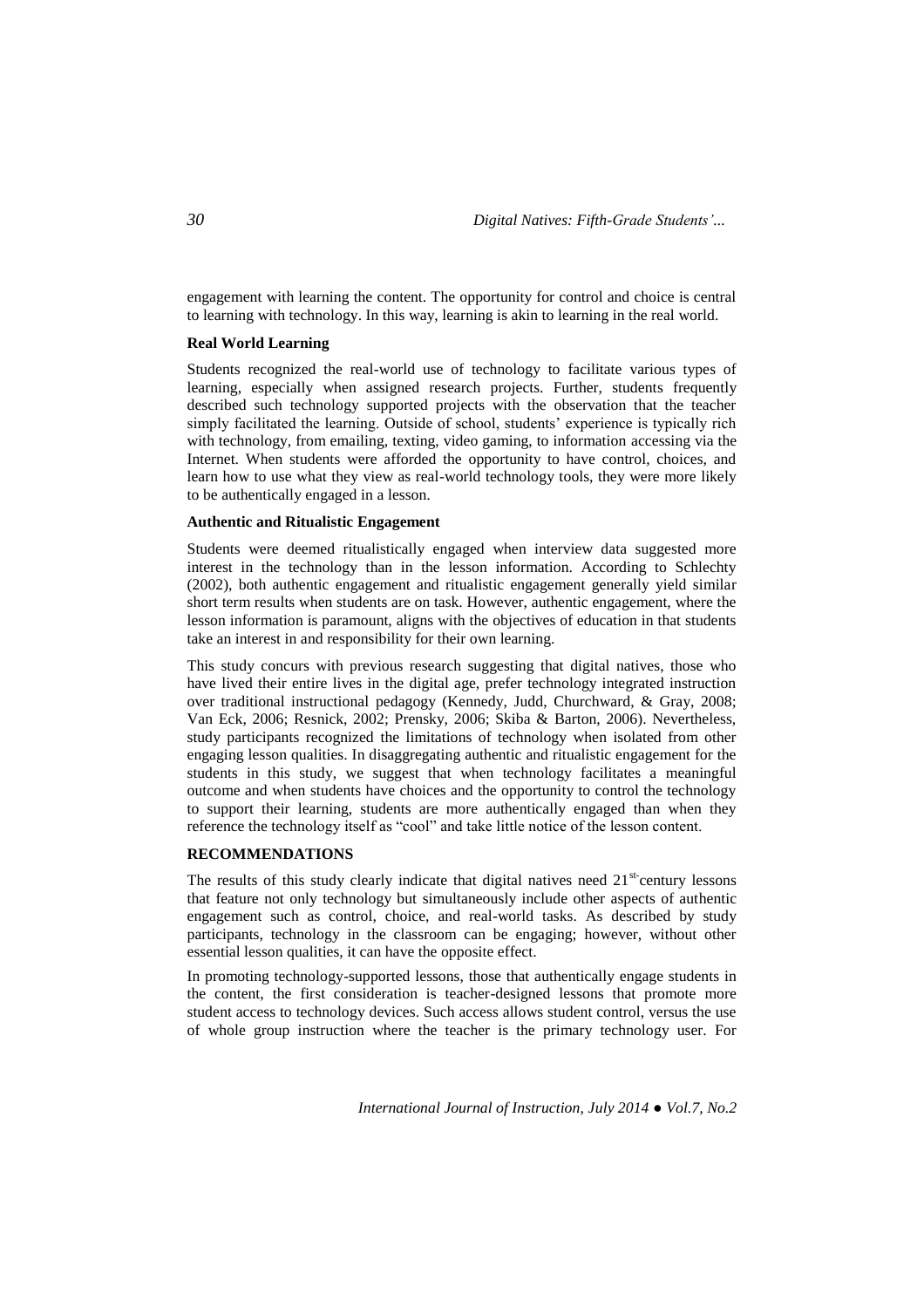engagement with learning the content. The opportunity for control and choice is central to learning with technology. In this way, learning is akin to learning in the real world.

#### **Real World Learning**

Students recognized the real-world use of technology to facilitate various types of learning, especially when assigned research projects. Further, students frequently described such technology supported projects with the observation that the teacher simply facilitated the learning. Outside of school, students' experience is typically rich with technology, from emailing, texting, video gaming, to information accessing via the Internet. When students were afforded the opportunity to have control, choices, and learn how to use what they view as real-world technology tools, they were more likely to be authentically engaged in a lesson.

### **Authentic and Ritualistic Engagement**

Students were deemed ritualistically engaged when interview data suggested more interest in the technology than in the lesson information. According to Schlechty (2002), both authentic engagement and ritualistic engagement generally yield similar short term results when students are on task. However, authentic engagement, where the lesson information is paramount, aligns with the objectives of education in that students take an interest in and responsibility for their own learning.

This study concurs with previous research suggesting that digital natives, those who have lived their entire lives in the digital age, prefer technology integrated instruction over traditional instructional pedagogy (Kennedy, Judd, Churchward, & Gray, 2008; Van Eck, 2006; Resnick, 2002; Prensky, 2006; Skiba & Barton, 2006). Nevertheless, study participants recognized the limitations of technology when isolated from other engaging lesson qualities. In disaggregating authentic and ritualistic engagement for the students in this study, we suggest that when technology facilitates a meaningful outcome and when students have choices and the opportunity to control the technology to support their learning, students are more authentically engaged than when they reference the technology itself as "cool" and take little notice of the lesson content.

#### **RECOMMENDATIONS**

The results of this study clearly indicate that digital natives need  $21<sup>st</sup>$  century lessons that feature not only technology but simultaneously include other aspects of authentic engagement such as control, choice, and real-world tasks. As described by study participants, technology in the classroom can be engaging; however, without other essential lesson qualities, it can have the opposite effect.

In promoting technology-supported lessons, those that authentically engage students in the content, the first consideration is teacher-designed lessons that promote more student access to technology devices. Such access allows student control, versus the use of whole group instruction where the teacher is the primary technology user. For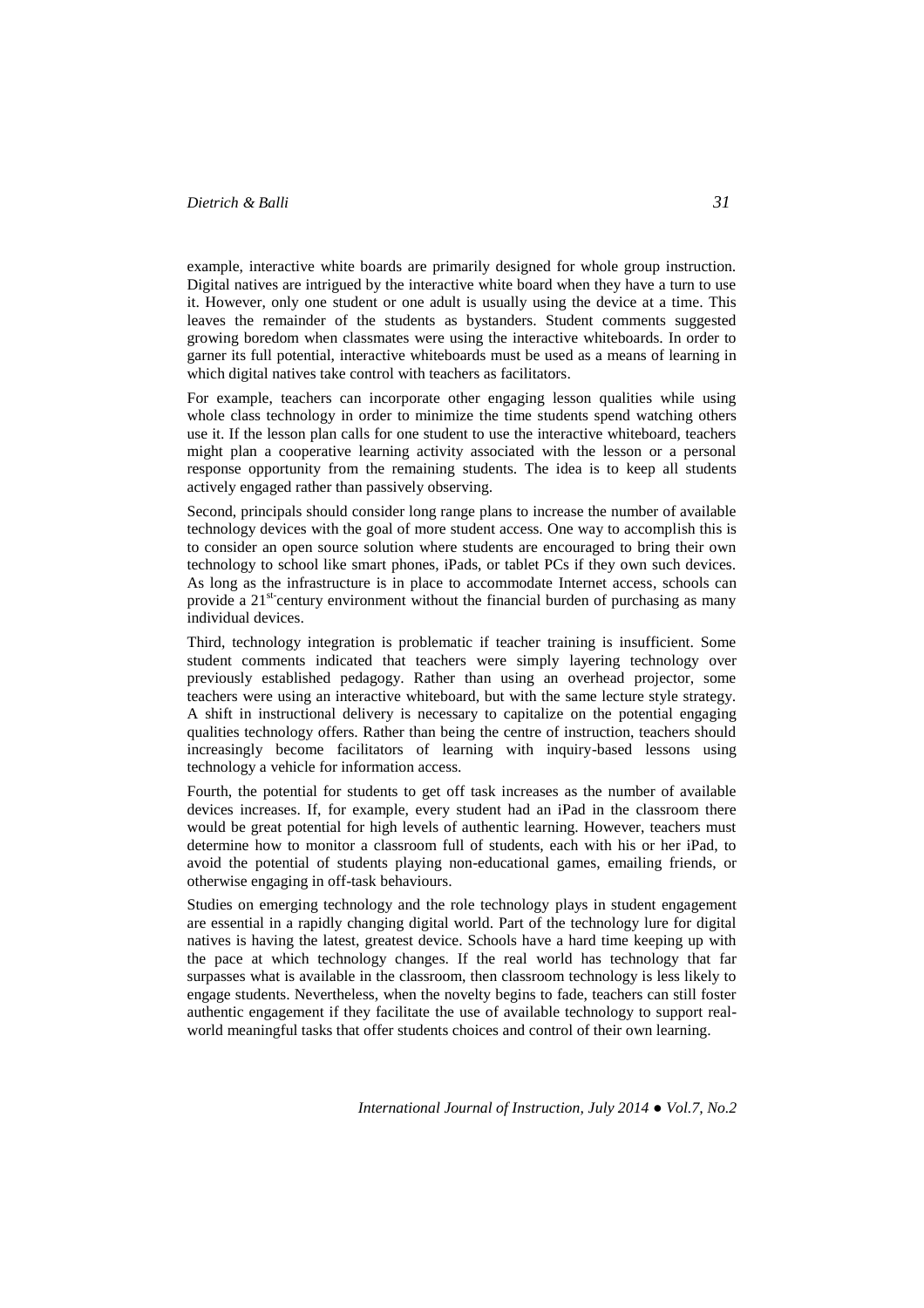example, interactive white boards are primarily designed for whole group instruction. Digital natives are intrigued by the interactive white board when they have a turn to use it. However, only one student or one adult is usually using the device at a time. This leaves the remainder of the students as bystanders. Student comments suggested growing boredom when classmates were using the interactive whiteboards. In order to garner its full potential, interactive whiteboards must be used as a means of learning in which digital natives take control with teachers as facilitators.

For example, teachers can incorporate other engaging lesson qualities while using whole class technology in order to minimize the time students spend watching others use it. If the lesson plan calls for one student to use the interactive whiteboard, teachers might plan a cooperative learning activity associated with the lesson or a personal response opportunity from the remaining students. The idea is to keep all students actively engaged rather than passively observing.

Second, principals should consider long range plans to increase the number of available technology devices with the goal of more student access. One way to accomplish this is to consider an open source solution where students are encouraged to bring their own technology to school like smart phones, iPads, or tablet PCs if they own such devices. As long as the infrastructure is in place to accommodate Internet access, schools can provide a 21<sup>st-</sup>century environment without the financial burden of purchasing as many individual devices.

Third, technology integration is problematic if teacher training is insufficient. Some student comments indicated that teachers were simply layering technology over previously established pedagogy. Rather than using an overhead projector, some teachers were using an interactive whiteboard, but with the same lecture style strategy. A shift in instructional delivery is necessary to capitalize on the potential engaging qualities technology offers. Rather than being the centre of instruction, teachers should increasingly become facilitators of learning with inquiry-based lessons using technology a vehicle for information access.

Fourth, the potential for students to get off task increases as the number of available devices increases. If, for example, every student had an iPad in the classroom there would be great potential for high levels of authentic learning. However, teachers must determine how to monitor a classroom full of students, each with his or her iPad, to avoid the potential of students playing non-educational games, emailing friends, or otherwise engaging in off-task behaviours.

Studies on emerging technology and the role technology plays in student engagement are essential in a rapidly changing digital world. Part of the technology lure for digital natives is having the latest, greatest device. Schools have a hard time keeping up with the pace at which technology changes. If the real world has technology that far surpasses what is available in the classroom, then classroom technology is less likely to engage students. Nevertheless, when the novelty begins to fade, teachers can still foster authentic engagement if they facilitate the use of available technology to support realworld meaningful tasks that offer students choices and control of their own learning.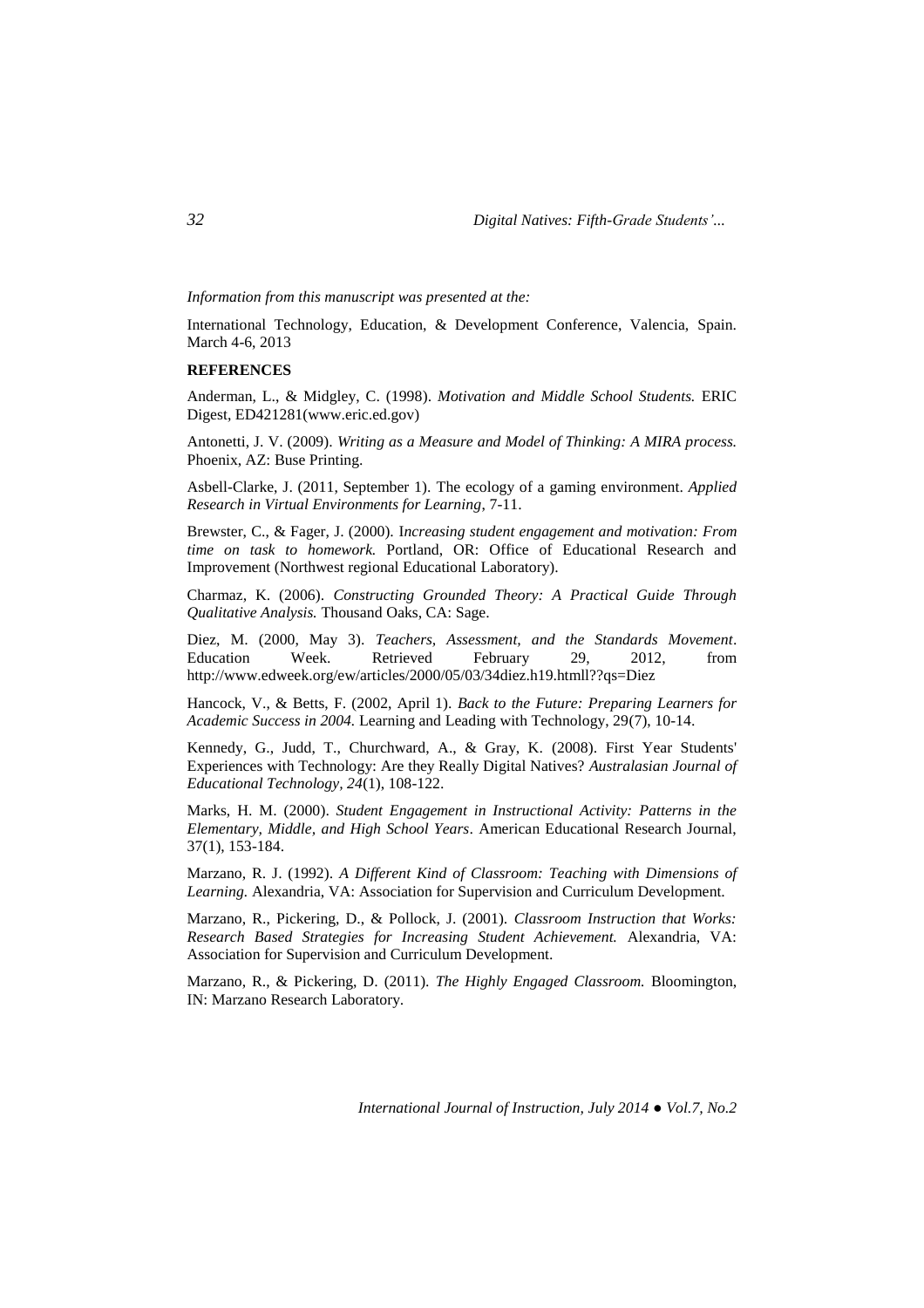*Information from this manuscript was presented at the:*

International Technology, Education, & Development Conference, Valencia, Spain. March 4-6, 2013

#### **REFERENCES**

Anderman, L., & Midgley, C. (1998). *Motivation and Middle School Students.* ERIC Digest, ED421281[\(www.eric.ed.gov\)](http://www.eric.ed.gov/)

Antonetti, J. V. (2009). *Writing as a Measure and Model of Thinking: A MIRA process.* Phoenix, AZ: Buse Printing.

Asbell-Clarke, J. (2011, September 1). The ecology of a gaming environment. *Applied Research in Virtual Environments for Learning*, 7-11.

Brewster, C., & Fager, J. (2000). I*ncreasing student engagement and motivation: From time on task to homework.* Portland, OR: Office of Educational Research and Improvement (Northwest regional Educational Laboratory).

Charmaz, K. (2006). *Constructing Grounded Theory: A Practical Guide Through Qualitative Analysis.* Thousand Oaks, CA: Sage.

Diez, M. (2000, May 3). *Teachers, Assessment, and the Standards Movement*. Education Week. Retrieved February 29, 2012, from <http://www.edweek.org/ew/articles/2000/05/03/34diez.h19.htmll??qs=Diez>

Hancock, V., & Betts, F. (2002, April 1). *Back to the Future: Preparing Learners for Academic Success in 2004.* Learning and Leading with Technology, 29(7), 10-14.

Kennedy, G., Judd, T., Churchward, A., & Gray, K. (2008). First Year Students' Experiences with Technology: Are they Really Digital Natives? *Australasian Journal of Educational Technology, 24*(1), 108-122.

Marks, H. M. (2000). *Student Engagement in Instructional Activity: Patterns in the Elementary, Middle, and High School Years*. American Educational Research Journal, 37(1), 153-184.

Marzano, R. J. (1992). *A Different Kind of Classroom: Teaching with Dimensions of Learning.* Alexandria, VA: Association for Supervision and Curriculum Development.

Marzano, R., Pickering, D., & Pollock, J. (2001). *Classroom Instruction that Works: Research Based Strategies for Increasing Student Achievement.* Alexandria, VA: Association for Supervision and Curriculum Development.

Marzano, R., & Pickering, D. (2011). *The Highly Engaged Classroom.* Bloomington, IN: Marzano Research Laboratory.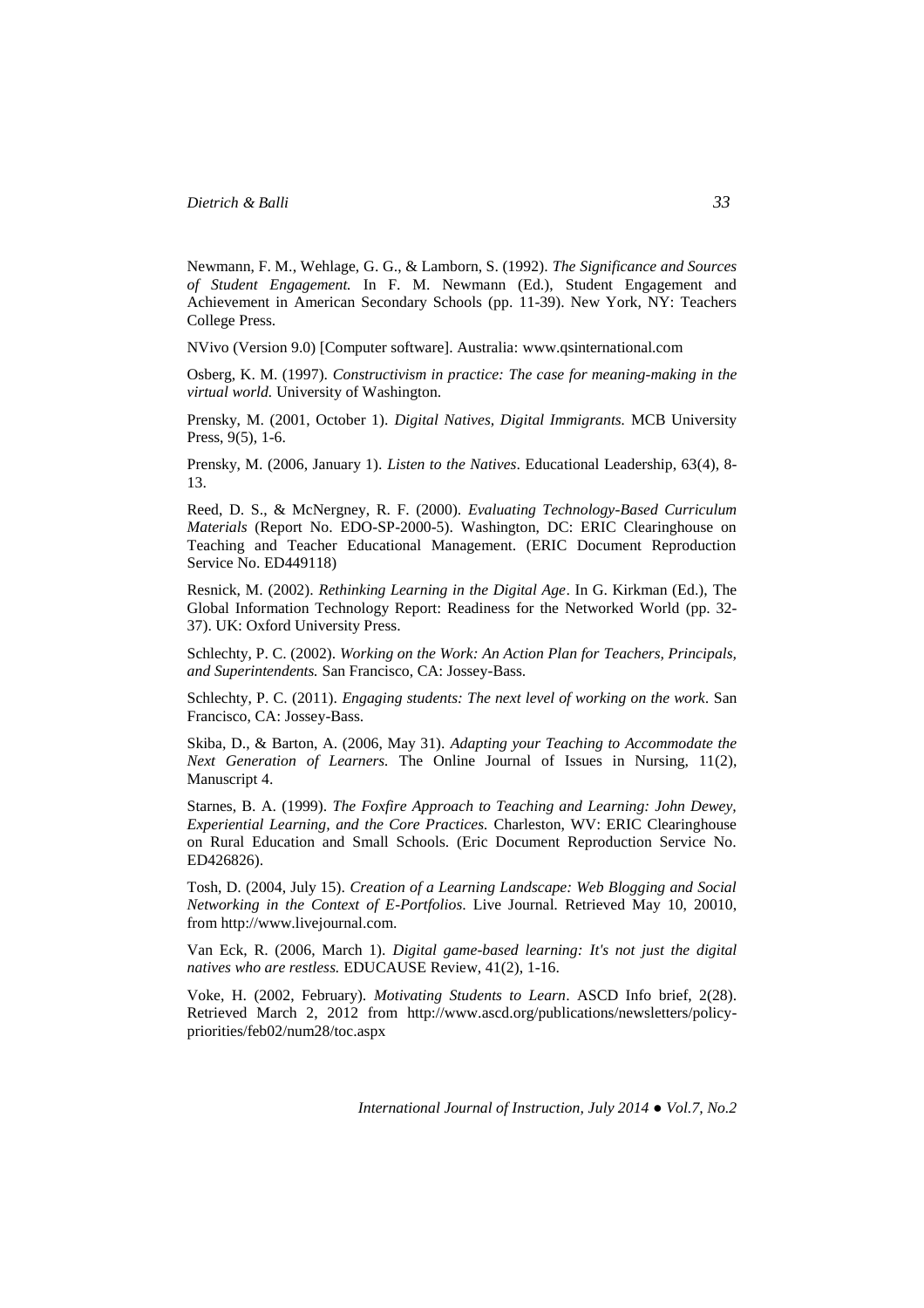Newmann, F. M., Wehlage, G. G., & Lamborn, S. (1992). *The Significance and Sources of Student Engagement.* In F. M. Newmann (Ed.), Student Engagement and Achievement in American Secondary Schools (pp. 11-39). New York, NY: Teachers College Press.

NVivo (Version 9.0) [Computer software]. Australia: [www.qsinternational.com](http://www.qsinternational.com/)

Osberg, K. M. (1997). *Constructivism in practice: The case for meaning-making in the virtual world.* University of Washington.

Prensky, M. (2001, October 1). *Digital Natives, Digital Immigrants.* MCB University Press, 9(5), 1-6.

Prensky, M. (2006, January 1). *Listen to the Natives*. Educational Leadership, 63(4), 8- 13.

Reed, D. S., & McNergney, R. F. (2000). *Evaluating Technology-Based Curriculum Materials* (Report No. EDO-SP-2000-5). Washington, DC: ERIC Clearinghouse on Teaching and Teacher Educational Management. (ERIC Document Reproduction Service No. ED449118)

Resnick, M. (2002). *Rethinking Learning in the Digital Age*. In G. Kirkman (Ed.), The Global Information Technology Report: Readiness for the Networked World (pp. 32- 37). UK: Oxford University Press.

Schlechty, P. C. (2002). *Working on the Work: An Action Plan for Teachers, Principals, and Superintendents.* San Francisco, CA: Jossey-Bass.

Schlechty, P. C. (2011). *Engaging students: The next level of working on the work.* San Francisco, CA: Jossey-Bass.

Skiba, D., & Barton, A. (2006, May 31). *Adapting your Teaching to Accommodate the Next Generation of Learners.* The Online Journal of Issues in Nursing, 11(2), Manuscript 4.

Starnes, B. A. (1999). *The Foxfire Approach to Teaching and Learning: John Dewey, Experiential Learning, and the Core Practices.* Charleston, WV: ERIC Clearinghouse on Rural Education and Small Schools. (Eric Document Reproduction Service No. ED426826).

Tosh, D. (2004, July 15). *Creation of a Learning Landscape: Web Blogging and Social Networking in the Context of E-Portfolios*. Live Journal*.* Retrieved May 10, 20010, from http://www.livejournal.com.

Van Eck, R. (2006, March 1). *Digital game-based learning: It's not just the digital natives who are restless.* EDUCAUSE Review, 41(2), 1-16.

Voke, H. (2002, February). *Motivating Students to Learn*. ASCD Info brief, 2(28). Retrieved March 2, 2012 from [http://www.ascd.org/publications/newsletters/policy](http://www.ascd.org/publications/newsletters/policy-priorities/feb02/num28/toc.aspx)[priorities/feb02/num28/toc.aspx](http://www.ascd.org/publications/newsletters/policy-priorities/feb02/num28/toc.aspx)